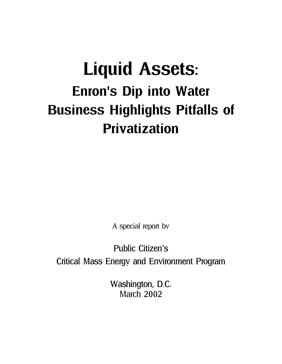# Liquid Assets: Enron's Dip into Water Business Highlights Pitfalls of Privatization

A special report by

Public Citizen's Critical Mass Energy and Environment Program

> Washington, D.C. March 2002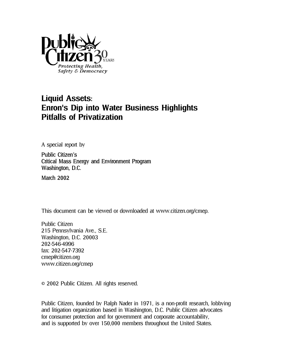

# Liquid Assets: Enron's Dip into Water Business Highlights Pitfalls of Privatization

A special report by

Public Citizen's Critical Mass Energy and Environment Program Washington, D.C.

March 2002

This document can be viewed or downloaded at www.citizen.org/cmep.

Public Citizen 215 Pennsylvania Ave., S.E. Washington, D.C. 20003 202-546-4996 fax: 202-547-7392 cmep@citizen.org www.citizen.org/cmep

© 2002 Public Citizen. All rights reserved.

Public Citizen, founded by Ralph Nader in 1971, is a non-profit research, lobbying and litigation organization based in Washington, D.C. Public Citizen advocates for consumer protection and for government and corporate accountability, and is supported by over 150,000 members throughout the United States.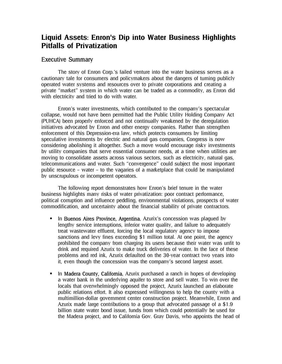## Liquid Assets: Enron's Dip into Water Business Highlights Pitfalls of Privatization

## Executive Summary

The story of Enron Corp.'s failed venture into the water business serves as a cautionary tale for consumers and policymakers about the dangers of turning publicly operated water systems and resources over to private corporations and creating a private "market" system in which water can be traded as a commodity, as Enron did with electricity and tried to do with water.

Enron's water investments, which contributed to the company's spectacular collapse, would not have been permitted had the Public Utility Holding Company Act (PUHCA) been properly enforced and not continually weakened by the deregulation initiatives advocated by Enron and other energy companies. Rather than strengthen enforcement of this Depression-era law, which protects consumers by limiting speculative investments by electric and natural gas companies, Congress is now considering abolishing it altogether. Such a move would encourage risky investments by utility companies that serve essential consumer needs, at a time when utilities are moving to consolidate assets across various sectors, such as electricity, natural gas, telecommunications and water. Such "convergence" could subject the most important public resource – water – to the vagaries of a marketplace that could be manipulated by unscrupulous or incompetent operators.

The following report demonstrates how Enron's brief tenure in the water business highlights many risks of water privatization: poor contract performance, political corruption and influence peddling, environmental violations, prospects of water commodification, and uncertainty about the financial stability of private contractors.

- **III.** Buenos Aires Province, Argentina, Azurix's concession was plagued by lengthy service interruptions, inferior water quality, and failure to adequately treat wastewater effluent, forcing the local regulatory agency to impose sanctions and levy fines exceeding \$1 million total. At one point, the agency prohibited the company from charging its users because their water was unfit to drink and required Azurix to make truck deliveries of water. In the face of these problems and red ink, Azurix defaulted on the 30-year contract two years into it, even though the concession was the company's second largest asset.
- In Madera County, California, Azurix purchased a ranch in hopes of developing a water bank in the underlying aquifer to store and sell water. To win over the locals that overwhelmingly opposed the project, Azurix launched an elaborate public relations effort. It also expressed willingness to help the county with a multimillion-dollar government center construction project. Meanwhile, Enron and Azurix made large contributions to a group that advocated passage of a \$1.9 billion state water bond issue, funds from which could potentially be used for the Madera project, and to California Gov. Gray Davis, who appoints the head of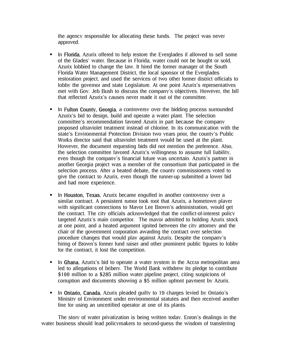the agency responsible for allocating these funds. The project was never approved.

- In Florida, Azurix offered to help restore the Everglades if allowed to sell some of the Glades' water. Because in Florida, water could not be bought or sold, Azurix lobbied to change the law. It hired the former manager of the South Florida Water Management District, the local sponsor of the Everglades restoration project, and used the services of two other former district officials to lobby the governor and state Legislature. At one point Azurix's representatives met with Gov. Jeb Bush to discuss the company's objectives. However, the bill that reflected Azurix's causes never made it out of the committee.
- In Fulton County, Georgia, a controversy over the bidding process surrounded Azurix's bid to design, build and operate a water plant. The selection committee's recommendation favored Azurix in part because the company proposed ultraviolet treatment instead of chlorine. In its communication with the state's Environmental Protection Division two years prior, the county's Public Works director said that ultraviolet treatment would be used at the plant. However, the document requesting bids did not mention the preference. Also, the selection committee favored Azurix's willingness to assume full liability, even though the company's financial future was uncertain. Azurix's partner in another Georgia project was a member of the consortium that participated in the selection process. After a heated debate, the county commissioners voted to give the contract to Azurix, even though the runner-up submitted a lower bid and had more experience.
- In Houston, Texas, Azurix became engulfed in another controversy over a similar contract. A persistent rumor took root that Azurix, a hometown player with significant connections to Mayor Lee Brown's administration, would get the contract. The city officials acknowledged that the conflict-of-interest policy targeted Azurix's main competitor. The mayor admitted to holding Azurix stock at one point, and a heated argument ignited between the city attorney and the chair of the government corporation awarding the contract over selection procedure changes that would play against Azurix. Despite the company's hiring of Brown's former fund raiser and other prominent public figures to lobby for the contract, it lost the competition.
- In Ghana, Azurix's bid to operate a water system in the Accra metropolitan area led to allegations of bribery. The World Bank withdrew its pledge to contribute \$100 million to a \$285 million water pipeline project, citing suspicions of corruption and documents showing a \$5 million upfront payment by Azurix.
- In Ontario, Canada, Azurix pleaded guilty to 19 charges levied by Ontario's Ministry of Environment under environmental statutes and then received another fine for using an uncertified operator at one of its plants.

The story of water privatization is being written today. Enron's dealings in the water business should lead policymakers to second-guess the wisdom of transferring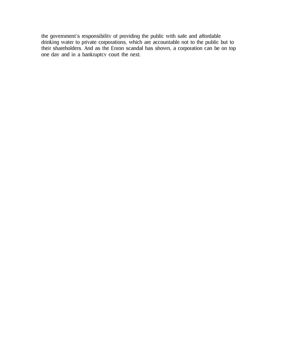the government's responsibility of providing the public with safe and affordable drinking water to private corporations, which are accountable not to the public but to their shareholders. And as the Enron scandal has shown, a corporation can be on top one day and in a bankruptcy court the next.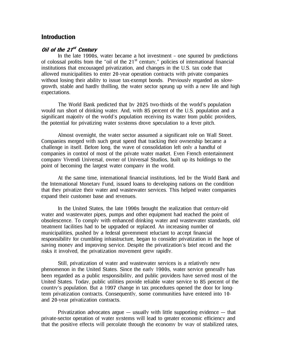## **Introduction**

## Oil of the 21<sup>st</sup> Century

In the late 1990s, water became a hot investment – one spurred by predictions of colossal profits from the "oil of the  $21<sup>st</sup>$  century," policies of international financial institutions that encouraged privatization, and changes in the U.S. tax code that allowed municipalities to enter 20-year operation contracts with private companies without losing their ability to issue tax-exempt bonds. Previously regarded as slowgrowth, stable and hardly thrilling, the water sector sprung up with a new life and high expectations.

The World Bank predicted that by 2025 two-thirds of the world's population would run short of drinking water. And, with 85 percent of the U.S. population and a significant majority of the world's population receiving its water from public providers, the potential for privatizing water systems drove speculation to a fever pitch.

Almost overnight, the water sector assumed a significant role on Wall Street. Companies merged with such great speed that tracking their ownership became a challenge in itself. Before long, the wave of consolidation left only a handful of companies in control of most of the private water market. Even French entertainment company Vivendi Universal, owner of Universal Studios, built up its holdings to the point of becoming the largest water company in the world.

At the same time, international financial institutions, led by the World Bank and the International Monetary Fund, issued loans to developing nations on the condition that they privatize their water and wastewater services. This helped water companies expand their customer base and revenues.

In the United States, the late 1990s brought the realization that century-old water and wastewater pipes, pumps and other equipment had reached the point of obsolescence. To comply with enhanced drinking water and wastewater standards, old treatment facilities had to be upgraded or replaced. An increasing number of municipalities, pushed by a federal government reluctant to accept financial responsibility for crumbling infrastructure, began to consider privatization in the hope of saving money and improving service. Despite the privatization's brief record and the risks it involved, the privatization movement grew rapidly.

Still, privatization of water and wastewater services is a relatively new phenomenon in the United States. Since the early 1900s, water service generally has been regarded as a public responsibility, and public providers have served most of the United States. Today, public utilities provide reliable water service to 85 percent of the country's population. But a 1997 change in tax procedures opened the door for longterm privatization contracts. Consequently, some communities have entered into 10 and 20-year privatization contracts.

Privatization advocates argue  $-$  usually with little supporting evidence  $-$  that private-sector operation of water systems will lead to greater economic efficiency and that the positive effects will percolate through the economy by way of stabilized rates,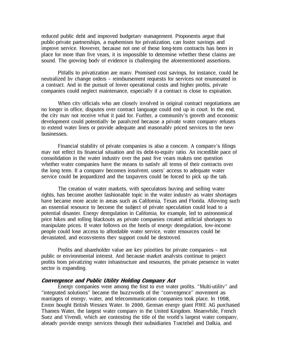reduced public debt and improved budgetary management. Proponents argue that public-private partnerships, a euphemism for privatization, can foster savings and improve service. However, because not one of these long-term contracts has been in place for more than five years, it is impossible to determine whether these claims are sound. The growing body of evidence is challenging the aforementioned assertions.

Pitfalls to privatization are many. Promised cost savings, for instance, could be neutralized by change orders – reimbursement requests for services not enumerated in a contract. And in the pursuit of lower operational costs and higher profits, private companies could neglect maintenance, especially if a contract is close to expiration.

When city officials who are closely involved in original contract negotiations are no longer in office, disputes over contract language could end up in court. In the end, the city may not receive what it paid for. Further, a community's growth and economic development could potentially be paralyzed because a private water company refuses to extend water lines or provide adequate and reasonably priced services to the new businesses.

Financial stability of private companies is also a concern. A company's filings may not reflect its financial situation and its debt-to-equity ratio. An incredible pace of consolidation in the water industry over the past five years makes one question whether water companies have the means to satisfy all terms of their contracts over the long term. If a company becomes insolvent, users' access to adequate water service could be jeopardized and the taxpayers could be forced to pick up the tab.

The creation of water markets, with speculators buying and selling water rights, has become another fashionable topic in the water industry as water shortages have became more acute in areas such as California, Texas and Florida. Allowing such an essential resource to become the subject of private speculation could lead to a potential disaster. Energy deregulation in California, for example, led to astronomical price hikes and rolling blackouts as private companies created artificial shortages to manipulate prices. If water follows on the heels of energy deregulation, low-income people could lose access to affordable water service, water resources could be devastated, and ecosystems they support could be destroyed.

Profits and shareholder value are key priorities for private companies – not public or environmental interest. And because market analysts continue to project profits from privatizing water infrastructure and resources, the private presence in water sector is expanding.

#### Convergence and Public Utility Holding Company Act

Energy companies were among the first to eye water profits. "Multi-utility" and "integrated solutions" became the buzzwords of the "convergence" movement as marriages of energy, water, and telecommunication companies took place. In 1998, Enron bought British Wessex Water. In 2000, German energy giant RWE AG purchased Thames Water, the largest water company in the United Kingdom. Meanwhile, French Suez and Vivendi, which are contesting the title of the world's largest water company, already provide energy services through their subsidiaries Tractebel and Dalkia, and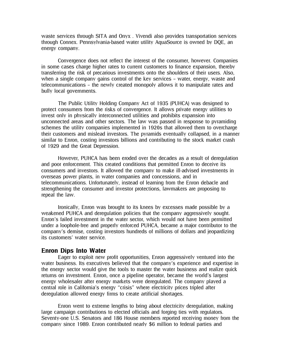waste services through SITA and Onyx . Vivendi also provides transportation services through Connex. Pennsylvania-based water utility AquaSource is owned by DQE, an energy company.

Convergence does not reflect the interest of the consumer, however. Companies in some cases charge higher rates to current customers to finance expansion, thereby transferring the risk of precarious investments onto the shoulders of their users. Also, when a single company gains control of the key services – water, energy, waste and telecommunications – the newly created monopoly allows it to manipulate rates and bully local governments.

The Public Utility Holding Company Act of 1935 (PUHCA) was designed to protect consumers from the risks of convergence. It allows private energy utilities to invest only in physically interconnected utilities and prohibits expansion into unconnected areas and other sectors. The law was passed in response to pyramiding schemes the utility companies implemented in 1920s that allowed them to overcharge their customers and mislead investors. The pyramids eventually collapsed, in a manner similar to Enron, costing investors billions and contributing to the stock market crash of 1929 and the Great Depression.

However, PUHCA has been eroded over the decades as a result of deregulation and poor enforcement. This created conditions that permitted Enron to deceive its consumers and investors. It allowed the company to make ill-advised investments in overseas power plants, in water companies and concessions, and in telecommunications. Unfortunately, instead of learning from the Enron debacle and strengthening the consumer and investor protections, lawmakers are proposing to repeal the law.

Ironically, Enron was brought to its knees by excesses made possible by a weakened PUHCA and deregulation policies that the company aggressively sought. Enron's failed investment in the water sector, which would not have been permitted under a loophole-free and properly enforced PUHCA, became a major contributor to the company's demise, costing investors hundreds of millions of dollars and jeopardizing its customers' water service.

#### Enron Dips Into Water

Eager to exploit new profit opportunities, Enron aggressively ventured into the water business. Its executives believed that the company's experience and expertise in the energy sector would give the tools to master the water business and realize quick returns on investment. Enron, once a pipeline operator, became the world's largest energy wholesaler after energy markets were deregulated. The company played a central role in California's energy "crisis" where electricity prices tripled after deregulation allowed energy firms to create artificial shortages.

Enron went to extreme lengths to bring about electricity deregulation, making large campaign contributions to elected officials and forging ties with regulators. Seventy-one U.S. Senators and 186 House members reported receiving money from the company since 1989. Enron contributed nearly \$6 million to federal parties and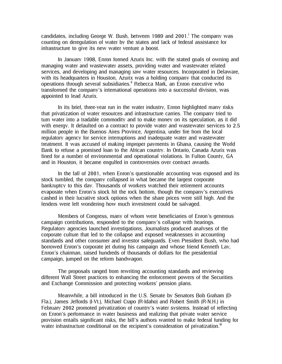candidates, including George W. Bush, between 1989 and 2001. The company was counting on deregulation of water by the states and lack of federal assistance for infrastructure to give its new water venture a boost.

In January 1998, Enron formed Azurix Inc. with the stated goals of owning and managing water and wastewater assets, providing water and wastewater related services, and developing and managing raw water resources. Incorporated in Delaware, with its headquarters in Houston, Azurix was a holding company that conducted its operations through several subsidiaries.<sup>ii</sup> Rebecca Mark, an Enron executive who transformed the company's international operations into a successful division, was appointed to lead Azurix.

In its brief, three-year run in the water industry, Enron highlighted many risks that privatization of water resources and infrastructure carries. The company tried to turn water into a tradable commodity and to make money on its speculation, as it did with energy. It defaulted on a contract to provide water and wastewater services to 2.5 million people in the Buenos Aires Province, Argentina, under fire from the local regulatory agency for service interruptions and inadequate water and wastewater treatment. It was accused of making improper payments in Ghana, causing the World Bank to refuse a promised loan to the African country. In Ontario, Canada Azurix was fined for a number of environmental and operational violations. In Fulton County, GA and in Houston, it became engulfed in controversies over contract awards.

In the fall of 2001, when Enron's questionable accounting was exposed and its stock tumbled, the company collapsed in what became the largest corporate bankruptcy to this day. Thousands of workers watched their retirement accounts evaporate when Enron's stock hit the rock bottom, though the company's executives cashed in their lucrative stock options when the share prices were still high. And the lenders were left wondering how much investment could be salvaged.

Members of Congress, many of whom were beneficiaries of Enron's generous campaign contributions, responded to the company's collapse with hearings. Regulatory agencies launched investigations. Journalists produced analyses of the corporate culture that led to the collapse and exposed weaknesses in accounting standards and other consumer and investor safeguards. Even President Bush, who had borrowed Enron's corporate jet during his campaign and whose friend Kenneth Lay, Enron's chairman, raised hundreds of thousands of dollars for the presidential campaign, jumped on the reform bandwagon.

The proposals ranged from rewriting accounting standards and reviewing different Wall Street practices to enhancing the enforcement powers of the Securities and Exchange Commission and protecting workers' pension plans.

Meanwhile, a bill introduced in the U.S. Senate by Senators Bob Graham (D-Fla.), James Jeffords (I-Vt.), Michael Crapo (R-Idaho) and Robert Smith (R-N.H.) in February 2002 promoted privatization of country's water systems. Instead of reflecting on Enron's performance in water business and realizing that private water service provision entails significant risks, the bill's authors wanted to make federal funding for water infrastructure conditional on the recipient's consideration of privatization.<sup>iii</sup>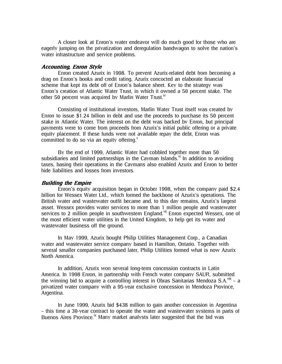A closer look at Enron's water endeavor will do much good for those who are eagerly jumping on the privatization and deregulation bandwagon to solve the nation's water infrastructure and service problems.

#### Accounting, Enron Style

Enron created Azurix in 1998. To prevent Azurix-related debt from becoming a drag on Enron's books and credit rating, Azurix concocted an elaborate financial scheme that kept its debt off of Enron's balance sheet. Key to the strategy was Enron's creation of Atlantic Water Trust, in which it owned a 50 percent stake. The other 50 percent was acquired by Marlin Water Trust.<sup>iv</sup>

Consisting of institutional investors, Marlin Water Trust itself was created by Enron to issue \$1.24 billion in debt and use the proceeds to purchase its 50 percent stake in Atlantic Water. The interest on the debt was backed by Enron, but principal payments were to come from proceeds from Azurix's initial public offering or a private equity placement. If these funds were not available repay the debt, Enron was committed to do so via an equity offering. $V$ 

By the end of 1999, Atlantic Water had cobbled together more than 50 subsidiaries and limited partnerships in the Cayman Islands.  $\mathbf{v}$  In addition to avoiding taxes, basing their operations in the Caymans also enabled Azurix and Enron to better hide liabilities and losses from investors.

#### Building the Empire

Enron's equity acquisition began in October 1998, when the company paid \$2.4 billion for Wessex Water Ltd., which formed the backbone of Azurix's operations. The British water and wastewater outfit became and, to this day remains, Azurix's largest asset. Wessex provides water services to more than 1 million people and wastewater services to 2 million people in southwestern England.<sup>vii</sup> Enron expected Wessex, one of the most efficient water utilities in the United Kingdom, to help get its water and wastewater business off the ground.

In May 1999, Azurix bought Philip Utilities Management Corp., a Canadian water and wastewater service company based in Hamilton, Ontario. Together with several smaller companies purchased later, Philip Utilities formed what is now Azurix North America.

In addition, Azurix won several long-term concession contracts in Latin America. In 1998 Enron, in partnership with French water company SAUR, submitted the winning bid to acquire a controlling interest in Obras Sanitarias Mendoza S.A.<sup>viii</sup> – a privatized water company with a 95-year exclusive concession in Mendoza Province, Argentina.

In June 1999, Azurix bid \$438 million to gain another concession in Argentina – this time a 30-year contract to operate the water and wastewater systems in parts of Buenos Aires Province.<sup>ix</sup> Many market analysts later suggested that the bid was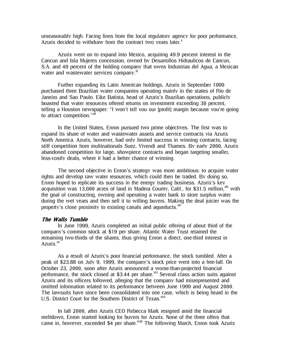unreasonably high. Facing fines from the local regulatory agency for poor performance, Azurix decided to withdraw from the contract two vears later. $^x$ 

Azurix went on to expand into Mexico, acquiring 49.9 percent interest in the Cancun and Isla Mujeres concession, owned by Desarrollos Hidraulicos de Cancun, S.A. and 49 percent of the holding company that owns Industrias del Agua, a Mexican water and wastewater services company.<sup>xi</sup>

Further expanding its Latin American holdings, Azurix in September 1999 purchased three Brazilian water companies operating mainly in the states of Rio de Janeiro and Sao Paulo. Eike Batista, head of Azurix's Brazilian operations, publicly boasted that water resources offered returns on investment exceeding 30 percent, telling a Houston newspaper: "I won't tell you our [profit] margin because you're going to attract competition."<sup>xii</sup>

In the United States, Enron pursued two prime objectives. The first was to expand its share of water and wastewater assets and service contracts via Azurix North America. Azurix, however, had only limited success in winning contracts, facing stiff competition from multinationals Suez, Vivendi and Thames. By early 2000, Azurix abandoned competition for large, showpiece contracts and began targeting smaller, less-costly deals, where it had a better chance of winning.

The second objective in Enron's strategy was more ambitious: to acquire water rights and develop raw water resources, which could then be traded. By doing so, Enron hoped to replicate its success in the energy trading business. Azurix's key acquisition was 13,600 acres of land in Madera County, Calif., for \$31.5 million.<sup>xiii</sup> with the goal of constructing, owning and operating a water bank to store surplus water during the wet years and then sell it to willing buyers. Making the deal juicier was the property's close proximity to existing canals and aqueducts. $\frac{\dot{x}^{\dot{y}}}{\dot{x}^{\dot{y}}}$ 

#### The Walls Tumble

In June 1999, Azurix completed an initial public offering of about third of the company's common stock at \$19 per share. Atlantic Water Trust retained the remaining two-thirds of the shares, thus giving Enron a direct, one-third interest in Azurix. $x^{x}$ 

As a result of Azurix's poor financial performance, the stock tumbled. After a peak of \$23.88 on July 9, 1999, the company's stock price went into a free-fall. On October 23, 2000, soon after Azurix announced a worse-than-projected financial performance, the stock closed at \$3.44 per share.<sup>xvi</sup> Several class action suits against Azurix and its officers followed, alleging that the company had misrepresented and omitted information related to its performance between June 1999 and August 2000. The lawsuits have since been consolidated into one case, which is being heard in the U.S. District Court for the Southern District of Texas.<sup>xvii</sup>

In fall 2000, after Azurix CEO Rebecca Mark resigned amid the financial meltdown, Enron started looking for buyers for Azurix. None of the three offers that came in, however, exceeded \$4 per share.<sup>xviii</sup> The following March, Enron took Azurix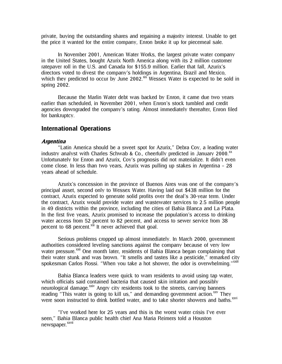private, buying the outstanding shares and regaining a majority interest. Unable to get the price it wanted for the entire company, Enron broke it up for piecemeal sale.

In November 2001, American Water Works, the largest private water company in the United States, bought Azurix North America along with its 2 million customer ratepayer roll in the U.S. and Canada for \$155.9 million. Earlier that fall, Azurix's directors voted to divest the company's holdings in Argentina, Brazil and Mexico, which they predicted to occur by June 2002. $\frac{xx}{x}$  Wessex Water is expected to be sold in spring 2002.

Because the Marlin Water debt was backed by Enron, it came due two years earlier than scheduled, in November 2001, when Enron's stock tumbled and credit agencies downgraded the company's rating. Almost immediately thereafter, Enron filed for bankruptcy.

## International Operations

#### Argentina

"Latin America should be a sweet spot for Azurix," Debra Coy, a leading water industry analyst with Charles Schwab & Co., cheerfully predicted in January 2000. $^{xx}$ Unfortunately for Enron and Azurix, Coy's prognosis did not materialize. It didn't even come close. In less than two years, Azurix was pulling up stakes in Argentina – 28 years ahead of schedule.

Azurix's concession in the province of Buenos Aires was one of the company's principal asset, second only to Wessex Water. Having laid out \$438 million for the contract, Azurix expected to generate solid profits over the deal's 30-year term. Under the contract, Azurix would provide water and wastewater services to 2.5 million people in 49 districts within the province, including the cities of Bahia Blanca and La Plata. In the first five years, Azurix promised to increase the population's access to drinking water access from 52 percent to 82 percent, and access to sewer service from 38 percent to 68 percent.<sup>xxi</sup> It never achieved that goal.

Serious problems cropped up almost immediately. In March 2000, government authorities considered leveling sanctions against the company because of very low water pressure.<sup>xxii</sup> One month later, residents of Bahia Blanca began complaining that their water stunk and was brown. "It smells and tastes like a pesticide," remarked city spokesman Carlos Rossi. "When you take a hot shower, the odor is overwhelming."<sup>xxiii</sup>

Bahia Blanca leaders were quick to warn residents to avoid using tap water, which officials said contained bacteria that caused skin irritation and possibly neurological damage.<sup>xxiv</sup> Angry city residents took to the streets, carrying banners reading "This water is going to kill us," and demanding government action.<sup>xxv</sup> They were soon instructed to drink bottled water, and to take shorter showers and baths.<sup>xxvi</sup>

"I've worked here for 25 years and this is the worst water crisis I've ever seen," Bahia Blanca public health chief Ana Maria Reimers told a Houston newspaper.<sup>xxvii</sup>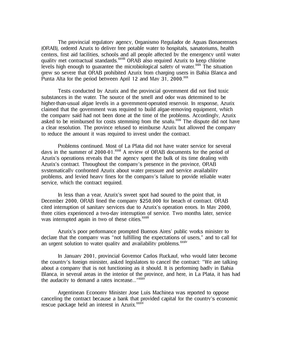The provincial regulatory agency, Organismo Regulador de Aguas Bonaerenses (ORAB), ordered Azurix to deliver free potable water to hospitals, sanatoriums, health centers, first aid facilities, schools and all people affected by the emergency until water quality met contractual standards.<sup>xxviii</sup> ORAB also required Azurix to keep chlorine levels high enough to quarantee the microbiological safety of water. $\frac{x}{x}$  The situation grew so severe that ORAB prohibited Azurix from charging users in Bahia Blanca and Punta Alta for the period between April 12 and May 31,  $2000$ . $\frac{xx}{x}$ 

Tests conducted by Azurix and the provincial government did not find toxic substances in the water. The source of the smell and odor was determined to be higher-than-usual algae levels in a government-operated reservoir. In response, Azurix claimed that the government was required to build algae-removing equipment, which the company said had not been done at the time of the problems. Accordingly, Azurix asked to be reimbursed for costs stemming from the snafu.<sup>xxxi</sup> The dispute did not have a clear resolution. The province refused to reimburse Azurix but allowed the company to reduce the amount it was required to invest under the contract.

Problems continued. Most of La Plata did not have water service for several days in the summer of 2000-01.xxxii A review of ORAB documents for the period of Azurix's operations reveals that the agency spent the bulk of its time dealing with Azurix's contract. Throughout the company's presence in the province, ORAB systematically confronted Azurix about water pressure and service availability problems, and levied heavy fines for the company's failure to provide reliable water service, which the contract required.

In less than a year, Azurix's sweet spot had soured to the point that, in December 2000, ORAB fined the company \$250,000 for breach of contract. ORAB cited interruption of sanitary services due to Azurix's operation errors. In May 2000, three cities experienced a two-day interruption of service. Two months later, service was interrupted again in two of these cities.<sup>xxxiii</sup>

Azurix's poor performance prompted Buenos Aires' public works minister to declare that the company was "not fulfilling the expectations of users," and to call for an urgent solution to water quality and availability problems.<sup>xxxiv</sup>

In January 2001, provincial Governor Carlos Ruckauf, who would later become the country's foreign minister, asked legislators to cancel the contract: "We are talking about a company that is not functioning as it should. It is performing badly in Bahia Blanca, in several areas in the interior of the province, and here, in La Plata, it has had the audacity to demand a rates increase..."<sup>xxxv</sup>

Argentinean Economy Minister Jose Luis Machinea was reported to oppose canceling the contract because a bank that provided capital for the country's economic rescue package held an interest in Azurix.<sup>xxxvi</sup>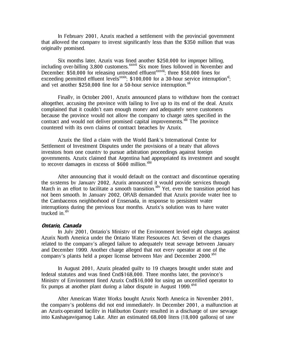In February 2001, Azurix reached a settlement with the provincial government that allowed the company to invest significantly less than the \$350 million that was originally promised.

Six months later, Azurix was fined another \$250,000 for improper billing, including over-billing 3,800 customers.<sup>xxxvii</sup> Six more fines followed in November and December: \$50,000 for releasing untreated effluent<sup>xxxviii</sup>; three \$50,000 fines for exceeding permitted effluent levels<sup>xxxix</sup>; \$100,000 for a 30-hour service interruption<sup>xl</sup>; and yet another \$250,000 fine for a 50-hour service interruption.  $X<sup>1</sup>$ 

Finally, in October 2001, Azurix announced plans to withdraw from the contract altogether, accusing the province with failing to live up to its end of the deal. Azurix complained that it couldn't earn enough money and adequately serve customers because the province would not allow the company to charge rates specified in the contract and would not deliver promised capital improvements.<sup>xlii</sup> The province countered with its own claims of contract breaches by Azurix.

Azurix the filed a claim with the World Bank's International Centre for Settlement of Investment Disputes under the provisions of a treaty that allows investors from one country to pursue arbitration proceedings against foreign governments. Azurix claimed that Argentina had appropriated its investment and sought to recover damages in excess of  $$600$  million.<sup>xliii</sup>

After announcing that it would default on the contract and discontinue operating the systems by January 2002, Azurix announced it would provide services through March in an effort to facilitate a smooth transition.<sup>Xliv</sup> Yet, even the transition period has not been smooth. In January 2002, ORAB demanded that Azurix provide water free to the Cambaceros neighborhood of Ensenada, in response to persistent water interruptions during the previous four months. Azurix's solution was to have water trucked in.<sup>xlv</sup>

#### Ontario, Canada

In July 2001, Ontario's Ministry of the Environment levied eight charges against Azurix North America under the Ontario Water Resources Act. Seven of the charges related to the company's alleged failure to adequately treat sewage between January and December 1999. Another charge alleged that not every operator at one of the company's plants held a proper license between May and December 2000.<sup>xlvi</sup>

In August 2001, Azurix pleaded guilty to 19 charges brought under state and federal statutes and was fined Cnd\$168,000. Three months later, the province's Ministry of Environment fined Azurix Cnd\$16,000 for using an uncertified operator to fix pumps at another plant during a labor dispute in August 1999. $x^{\text{tvii}}$ 

After American Water Works bought Azurix North America in November 2001, the company's problems did not end immediately. In December 2001, a malfunction at an Azurix-operated facility in Haliburton County resulted in a discharge of raw sewage into Kashagawigamog Lake. After an estimated 68,000 liters (18,000 gallons) of raw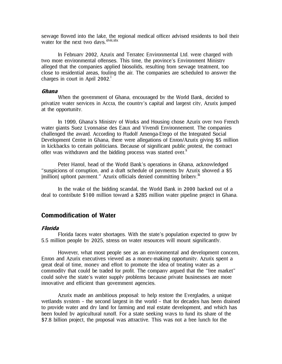sewage flowed into the lake, the regional medical officer advised residents to boil their water for the next two days. **xlviii, xlix** 

In February 2002, Azurix and Terratec Environmental Ltd. were charged with two more environmental offenses. This time, the province's Environment Ministry alleged that the companies applied biosolids, resulting from sewage treatment, too close to residential areas, fouling the air. The companies are scheduled to answer the charges in court in April 2002.

#### Ghana

When the government of Ghana, encouraged by the World Bank, decided to privatize water services in Accra, the country's capital and largest city, Azurix jumped at the opportunity.

In 1999, Ghana's Ministry of Works and Housing chose Azurix over two French water giants Suez Lyonnaise des Eaux and Vivendi Environnement. The companies challenged the award. According to Rudolf Amenga-Etego of the Integrated Social Development Centre in Ghana, there were allegations of Enron/Azurix giving \$5 million in kickbacks to certain politicians. Because of significant public protest, the contract offer was withdrawn and the bidding process was started over.<sup>li</sup>

Peter Harrol, head of the World Bank's operations in Ghana, acknowledged "suspicions of corruption, and a draft schedule of payments by Azurix showed a \$5 [million] upfront payment." Azurix officials denied committing bribery.<sup>lii</sup>

In the wake of the bidding scandal, the World Bank in 2000 backed out of a deal to contribute \$100 million toward a \$285 million water pipeline project in Ghana.

## Commodification of Water

#### Florida

Florida faces water shortages. With the state's population expected to grow by 5.5 million people by 2025, stress on water resources will mount significantly.

However, what most people see as an environmental and development concern, Enron and Azurix executives viewed as a money-making opportunity. Azurix spent a great deal of time, money and effort to promote the idea of treating water as a commodity that could be traded for profit. The company argued that the "free market" could solve the state's water supply problems because private businesses are more innovative and efficient than government agencies.

Azurix made an ambitious proposal: to help restore the Everglades, a unique wetlands system – the second largest in the world – that for decades has been drained to provide water and dry land for farming and real estate development, and which has been fouled by agricultural runoff. For a state seeking ways to fund its share of the \$7.8 billion project, the proposal was attractive. This was not a free lunch for the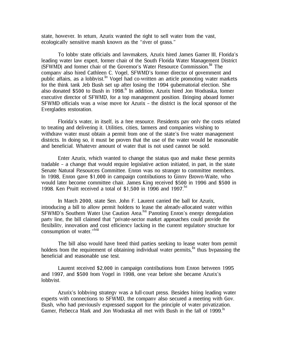state, however. In return, Azurix wanted the right to sell water from the vast, ecologically sensitive marsh known as the "river of grass."

To lobby state officials and lawmakers, Azurix hired James Garner III, Florida's leading water law expert, former chair of the South Florida Water Management District (SFWMD) and former chair of the Governor's Water Resource Commission. I The company also hired Cathleen C. Vogel, SFWMD's former director of government and public affairs, as a lobbyist. <sup>In</sup> Vogel had co-written an article promoting water markets for the think tank Jeb Bush set up after losing the 1994 gubernatorial election. She also donated \$500 to Bush in 1998.<sup> $\nu$ </sup> In addition, Azurix hired Jon Wodraska, former executive director of SFWMD, for a top management position. Bringing aboard former SFWMD officials was a wise move for Azurix – the district is the local sponsor of the Everglades restoration.

Florida's water, in itself, is a free resource. Residents pay only the costs related to treating and delivering it. Utilities, cities, farmers and companies wishing to withdraw water must obtain a permit from one of the state's five water management districts. In doing so, it must be proven that the use of the water would be reasonable and beneficial. Whatever amount of water that is not used cannot be sold.

Enter Azurix, which wanted to change the status quo and make these permits tradable – a change that would require legislative action initiated, in part, in the state Senate Natural Resources Committee. Enron was no stranger to committee members. In 1998, Enron gave \$1,000 in campaign contributions to Ginny Brown-Waite, who would later become committee chair. James King received \$500 in 1996 and \$500 in 1998. Ken Pruitt received a total of \$1,500 in 1996 and 1997.<sup>M</sup>

In March 2000, state Sen. John F. Laurent carried the ball for Azurix, introducing a bill to allow permit holders to lease the already-allocated water within SFWMD's Southern Water Use Caution Area.<sup>Ivii</sup> Parroting Enron's energy deregulation party line, the bill claimed that "private-sector market approaches could provide the flexibility, innovation and cost efficiency lacking in the current regulatory structure for consumption of water."<sup>Iviii</sup>

The bill also would have freed third parties seeking to lease water from permit holders from the requirement of obtaining individual water permits,  $\frac{dx}{dx}$  thus bypassing the beneficial and reasonable use test.

Laurent received \$2,000 in campaign contributions from Enron between 1995 and 1997, and \$500 from Vogel in 1998, one year before she became Azurix's lobbyist.

Azurix's lobbying strategy was a full-court press. Besides hiring leading water experts with connections to SFWMD, the company also secured a meeting with Gov. Bush, who had previously expressed support for the principle of water privatization. Garner, Rebecca Mark and Jon Wodraska all met with Bush in the fall of 1999.<sup>1x</sup>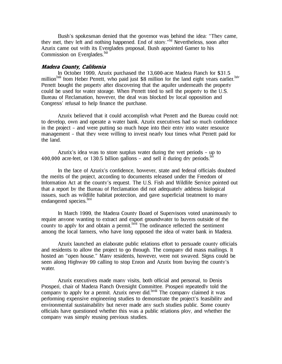Bush's spokesman denied that the governor was behind the idea: "They came, they met, they left and nothing happened. End of story."<sup>|xi</sup> Nevertheless, soon after Azurix came out with its Everglades proposal, Bush appointed Garner to his Commission on Everglades.<sup>Ixii</sup>

#### Madera County, California

In October 1999, Azurix purchased the 13,600-acre Madera Ranch for \$31.5 million<sup>lxiii</sup> from Heber Perrett, who paid just \$8 million for the land eight years earlier.<sup>lxiv</sup> Perrett bought the property after discovering that the aquifer underneath the property could be used for water storage. When Perrett tried to sell the property to the U.S. Bureau of Reclamation, however, the deal was blocked by local opposition and Congress' refusal to help finance the purchase.

Azurix believed that it could accomplish what Perrett and the Bureau could not: to develop, own and operate a water bank. Azurix executives had so much confidence in the project – and were putting so much hope into their entry into water resource management – that they were willing to invest nearly four times what Perrett paid for the land.

Azurix's idea was to store surplus water during the wet periods – up to 400,000 acre-feet, or 130.5 billion gallons – and sell it during dry periods.  $\mu$ 

In the face of Azurix's confidence, however, state and federal officials doubted the merits of the project, according to documents released under the Freedom of Information Act at the county's request. The U.S. Fish and Wildlife Service pointed out that a report by the Bureau of Reclamation did not adequately address biological issues, such as wildlife habitat protection, and gave superficial treatment to many endangered species. <sup>Ixvi</sup>

In March 1999, the Madera County Board of Supervisors voted unanimously to require anyone wanting to extract and export groundwater to buyers outside of the county to apply for and obtain a permit. <sup>Ixvii</sup> The ordinance reflected the sentiment among the local farmers, who have long opposed the idea of water bank in Madera.

Azurix launched an elaborate public relations effort to persuade county officials and residents to allow the project to go through. The company did mass mailings. It hosted an "open house." Many residents, however, were not swayed. Signs could be seen along Highway 99 calling to stop Enron and Azurix from buying the county's water.

Azurix executives made many visits, both official and personal, to Denis Prosperi, chair of Madera Ranch Oversight Committee. Prosperi repeatedly told the company to apply for a permit. Azurix never did.<sup>Ixviii</sup> The company claimed it was performing expensive engineering studies to demonstrate the project's feasibility and environmental sustainability but never made any such studies public. Some county officials have questioned whether this was a public relations ploy, and whether the company was simply reusing previous studies.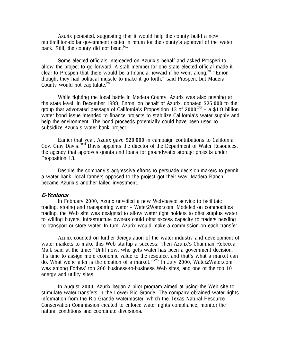Azurix persisted, suggesting that it would help the county build a new multimillion-dollar government center in return for the county's approval of the water bank. Still, the county did not bend.<sup>lxix</sup>

Some elected officials interceded on Azurix's behalf and asked Prosperi to allow the project to go forward. A staff member for one state elected official made it clear to Prosperi that there would be a financial reward if he went along.  $\frac{1}{x}$  "Enron thought they had political muscle to make it go forth," said Prosperi, but Madera County would not capitulate.<sup>lxxi</sup>

While fighting the local battle in Madera County, Azurix was also pushing at the state level. In December 1999, Enron, on behalf of Azurix, donated \$25,000 to the group that advocated passage of California's Proposition 13 of  $2000^{lxxii}$  – a \$1.9 billion water bond issue intended to finance projects to stabilize California's water supply and help the environment. The bond proceeds potentially could have been used to subsidize Azurix's water bank project.

Earlier that year, Azurix gave \$20,000 in campaign contributions to California Gov. Gray Davis.<sup>Ixxiii</sup> Davis appoints the director of the Department of Water Resources, the agency that approves grants and loans for groundwater storage projects under Proposition 13.

Despite the company's aggressive efforts to persuade decision-makers to permit a water bank, local farmers opposed to the project got their way. Madera Ranch became Azurix's another failed investment.

#### E-Ventures

In February 2000, Azurix unveiled a new Web-based service to facilitate trading, storing and transporting water – Water2Water.com. Modeled on commodities trading, the Web site was designed to allow water right holders to offer surplus water to willing buyers. Infrastructure owners could offer excess capacity to traders needing to transport or store water. In turn, Azurix would make a commission on each transfer.

Azurix counted on further deregulation of the water industry and development of water markets to make this Web startup a success. Then Azurix's Chairman Rebecca Mark said at the time: "Until now, who gets water has been a government decision. It's time to assign more economic value to the resource, and that's what a market can do. What we're after is the creation of a market."<sup>Ixxiv</sup> In July 2000, Water2Water.com was among Forbes' top 200 business-to-business Web sites, and one of the top 10 energy and utility sites.

In August 2000, Azurix began a pilot program aimed at using the Web site to stimulate water transfers in the Lower Rio Grande. The company obtained water rights information from the Rio Grande watermaster, which the Texas Natural Resource Conservation Commission created to enforce water rights compliance, monitor the natural conditions and coordinate diversions.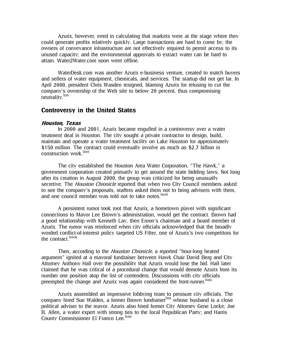Azurix, however, erred in calculating that markets were at the stage where they could generate profits relatively quickly. Large transactions are hard to come by; the owners of conveyance infrastructure are not effectively required to permit access to its unused capacity; and the environmental approvals to extract water can be hard to attain. Water2Water.com soon went offline.

WaterDesk.com was another Azurix e-business venture, created to match buyers and sellers of water equipment, chemicals, and services. The startup did not get far. In April 2000, president Chris Wasden resigned, blaming Azurix for refusing to cut the company's ownership of the Web site to below 20 percent, thus compromising neutrality.<sup>lxxv</sup>

### Controversy in the United States

#### Houston, Texas

In 2000 and 2001, Azurix became engulfed in a controversy over a water treatment deal in Houston. The city sought a private contractor to design, build, maintain and operate a water treatment facility on Lake Houston for approximately \$150 million. The contract could eventually involve as much as \$2.7 billion in construction work.<sup>lxxvi</sup>

The city established the Houston Area Water Corporation, "The Hawk," a government corporation created primarily to get around the state bidding laws. Not long after its creation in August 2000, the group was criticized for being unusually secretive. The *Houston Chronicle* reported that when two City Council members asked to see the company's proposals, staffers asked them not to bring advisers with them, and one council member was told not to take notes.<sup>Ixxvii</sup>

A persistent rumor took root that Azurix, a hometown player with significant connections to Mayor Lee Brown's administration, would get the contract. Brown had a good relationship with Kenneth Lay, then Enron's chairman and a board member of Azurix. The rumor was reinforced when city officials acknowledged that the broadly worded conflict-of-interest policy targeted US Filter, one of Azurix's two competitors for the contract.<sup>Ixxviii</sup>

Then, according to the *Houston Chronicle*, a reported "hour-long heated argument" ignited at a mayoral fundraiser between Hawk Chair David Berg and City Attorney Anthony Hall over the possibility that Azurix would lose the bid. Hall later claimed that he was critical of a procedural change that would demote Azurix from its number one position atop the list of contenders. Discussions with city officials preempted the change and Azurix was again considered the front-runner. xxix

Azurix assembled an impressive lobbying team to pressure city officials. The company hired Sue Walden, a former Brown fundraiser  $\frac{1}{x}$  whose husband is a close political adviser to the mayor. Azurix also hired former City Attorney Gene Locke; Joe B. Allen, a water expert with strong ties to the local Republican Party; and Harris County Commissioner El Franco Lee.<sup>lxxxi</sup>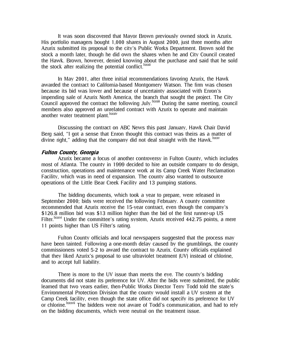It was soon discovered that Mayor Brown previously owned stock in Azurix. His portfolio managers bought 1,000 shares in August 2000, just three months after Azurix submitted its proposal to the city's Public Works Department. Brown sold the stock a month later, though he did own the shares when he and City Council created the Hawk. Brown, however, denied knowing about the purchase and said that he sold the stock after realizing the potential conflict.<sup>LXXXII</sup>

In May 2001, after three initial recommendations favoring Azurix, the Hawk awarded the contract to California-based Montgomery Watson. The firm was chosen because its bid was lower and because of uncertainty associated with Enron's impending sale of Azurix North America, the branch that sought the project. The City Council approved the contract the following July.lxxxiii During the same meeting, council members also approved an unrelated contract with Azurix to operate and maintain another water treatment plant.<sup>lxxxiv</sup>

Discussing the contract on ABC News this past January, Hawk Chair David Berg said, "I got a sense that Enron thought this contract was theirs as a matter of divine right," adding that the company did not deal straight with the Hawk. Exxv

#### Fulton County, Georgia

Azurix became a focus of another controversy in Fulton County, which includes most of Atlanta. The county in 1999 decided to hire an outside company to do design, construction, operations and maintenance work at its Camp Creek Water Reclamation Facility, which was in need of expansion. The county also wanted to outsource operations of the Little Bear Creek Facility and 13 pumping stations.

The bidding documents, which took a year to prepare, were released in September 2000; bids were received the following February. A county committee recommended that Azurix receive the 15-year contract, even though the company's \$126.8 million bid was \$13 million higher than the bid of the first runner-up US Filter.<sup>Ixxxvi</sup> Under the committee's rating system, Azurix received 442.75 points, a mere 11 points higher than US Filter's rating.

Fulton County officials and local newspapers suggested that the process may have been tainted. Following a one-month delay caused by the grumblings, the county commissioners voted 5-2 to award the contract to Azurix. County officials explained that they liked Azurix's proposal to use ultraviolet treatment (UV) instead of chlorine, and to accept full liability.

There is more to the UV issue than meets the eye. The county's bidding documents did not state its preference for UV. After the bids were submitted, the public learned that two years earlier, then-Public Works Director Terry Todd told the state's Environmental Protection Division that the county would install a UV system at the Camp Creek facility, even though the state office did not specify its preference for UV or chlorine. **IXXXVII** The bidders were not aware of Todd's communication, and had to rely on the bidding documents, which were neutral on the treatment issue.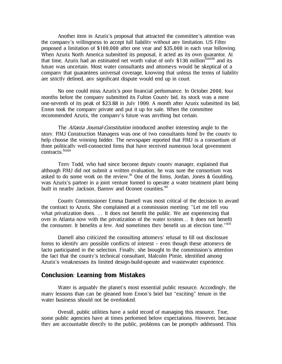Another item in Azurix's proposal that attracted the committee's attention was the company's willingness to accept full liability without any limitation. US Filter proposed a limitation of \$100,000 after one year and \$35,000 in each year following. When Azurix North America submitted its proposal, it acted as its own guarantor. At that time, Azurix had an estimated net worth value of only \$136 million<sup>Ixxxviii</sup> and its future was uncertain. Most water consultants and attorneys would be skeptical of a company that guarantees universal coverage, knowing that unless the terms of liability are strictly defined, any significant dispute would end up in court.

No one could miss Azurix's poor financial performance. In October 2000, four months before the company submitted its Fulton County bid, its stock was a mere one-seventh of its peak of \$23.88 in July 1999. A month after Azurix submitted its bid, Enron took the company private and put it up for sale. When the committee recommended Azurix, the company's future was anything but certain.

The *Atlanta Journal-Constitution* introduced another interesting angle to the story. RMJ Construction Managers was one of two consultants hired by the county to help choose the winning bidder. The newspaper reported that RMJ is a consortium of three politically well-connected firms that have received numerous local government contracts.<sup>lxxxix</sup>

Terry Todd, who had since become deputy county manager, explained that although RMJ did not submit a written evaluation, he was sure the consortium was asked to do some work on the review. $x^{\alpha}$  One of the firms, Jordan, Jones & Goulding, was Azurix's partner in a joint venture formed to operate a water treatment plant being built in nearby Jackson, Barrow and Oconee counties.<sup>xci</sup>

County Commissioner Emma Darnell was most critical of the decision to award the contract to Azurix. She complained at a commission meeting: "Let me tell you what privatization does. ... It does not benefit the public. We are experiencing that over in Atlanta now with the privatization of the water system… It does not benefit the consumer. It benefits a few. And sometimes they benefit us at election time." $x$ cii

Darnell also criticized the consulting attorneys' refusal to fill out disclosure forms to identify any possible conflicts of interest – even though these attorneys de facto participated in the selection. Finally, she brought to the commission's attention the fact that the county's technical consultant, Malcolm Pirnie, identified among Azurix's weaknesses its limited design-build-operate and wastewater experience.

## Conclusion: Learning from Mistakes

Water is arguably the planet's most essential public resource. Accordingly, the many lessons than can be gleaned from Enron's brief but "exciting" tenure in the water business should not be overlooked.

Overall, public utilities have a solid record of managing this resource. True, some public agencies have at times performed below expectations. However, because they are accountable directly to the public, problems can be promptly addressed. This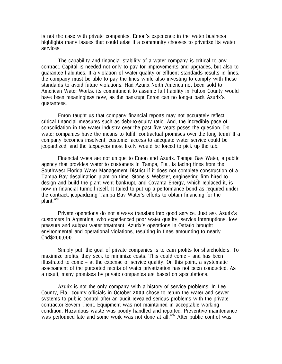is not the case with private companies. Enron's experience in the water business highlights many issues that could arise if a community chooses to privatize its water services.

The capability and financial stability of a water company is critical to any contract. Capital is needed not only to pay for improvements and upgrades, but also to guarantee liabilities. If a violation of water quality or effluent standards results in fines, the company must be able to pay the fines while also investing to comply with these standards to avoid future violations. Had Azurix North America not been sold to American Water Works, its commitment to assume full liability in Fulton County would have been meaningless now, as the bankrupt Enron can no longer back Azurix's guarantees.

Enron taught us that company financial reports may not accurately reflect critical financial measures such as debt-to-equity ratio. And, the incredible pace of consolidation in the water industry over the past five years poses the question: Do water companies have the means to fulfill contractual promises over the long term? If a company becomes insolvent, customer access to adequate water service could be jeopardized, and the taxpayers most likely would be forced to pick up the tab.

Financial woes are not unique to Enron and Azurix. Tampa Bay Water, a public agency that provides water to customers in Tampa, Fla., is facing fines from the Southwest Florida Water Management District if it does not complete construction of a Tampa Bay desalination plant on time. Stone & Webster, engineering firm hired to design and build the plant went bankrupt, and Covanta Energy, which replaced it, is now in financial turmoil itself. It failed to put up a performance bond as required under the contract, jeopardizing Tampa Bay Water's efforts to obtain financing for the plant.<sup>xciii</sup>

Private operations do not always translate into good service. Just ask Azurix's customers in Argentina, who experienced poor water quality, service interruptions, low pressure and subpar water treatment. Azurix's operations in Ontario brought environmental and operational violations, resulting in fines amounting to nearly Cnd\$200,000.

Simply put, the goal of private companies is to earn profits for shareholders. To maximize profits, they seek to minimize costs. This could come – and has been illustrated to come – at the expense of service quality. On this point, a systematic assessment of the purported merits of water privatization has not been conducted. As a result, many promises by private companies are based on speculations.

Azurix is not the only company with a history of service problems. In Lee County, Fla., county officials in October 2000 chose to return the water and sewer systems to public control after an audit revealed serious problems with the private contractor Severn Trent. Equipment was not maintained in acceptable working condition. Hazardous waste was poorly handled and reported. Preventive maintenance was performed late and some work was not done at all.<sup>xciv</sup> After public control was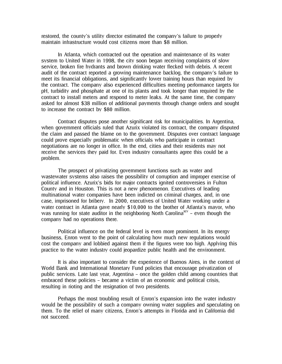restored, the county's utility director estimated the company's failure to properly maintain infrastructure would cost citizens more than \$8 million.

In Atlanta, which contracted out the operation and maintenance of its water system to United Water in 1998, the city soon began receiving complaints of slow service, broken fire hydrants and brown drinking water flecked with debris. A recent audit of the contract reported a growing maintenance backlog, the company's failure to meet its financial obligations, and significantly lower training hours than required by the contract. The company also experienced difficulties meeting performance targets for pH, turbidity and phosphate at one of its plants and took longer than required by the contract to install meters and respond to meter leaks. At the same time, the company asked for almost \$38 million of additional payments through change orders and sought to increase the contract by \$80 million.

Contract disputes pose another significant risk for municipalities. In Argentina, when government officials ruled that Azurix violated its contract, the company disputed the claim and passed the blame on to the government. Disputes over contract language could prove especially problematic when officials who participate in contract negotiations are no longer in office. In the end, cities and their residents may not receive the services they paid for. Even industry consultants agree this could be a problem.

The prospect of privatizing government functions such as water and wastewater systems also raises the possibility of corruption and improper exercise of political influence. Azurix's bids for major contracts ignited controversies in Fulton County and in Houston. This is not a new phenomenon. Executives of leading multinational water companies have been indicted on criminal charges, and, in one case, imprisoned for bribery. In 2000, executives of United Water working under a water contract in Atlanta gave nearly \$10,000 to the brother of Atlanta's mayor, who was running for state auditor in the neighboring North Carolina<sup>xcv</sup> – even though the company had no operations there.

Political influence on the federal level is even more prominent. In its energy business, Enron went to the point of calculating how much new regulations would cost the company and lobbied against them if the figures were too high. Applying this practice to the water industry could jeopardize public health and the environment.

It is also important to consider the experience of Buenos Aires, in the context of World Bank and International Monetary Fund policies that encourage privatization of public services. Late last year, Argentina – once the golden child among countries that embraced these policies – became a victim of an economic and political crisis, resulting in rioting and the resignation of two presidents.

Perhaps the most troubling result of Enron's expansion into the water industry would be the possibility of such a company owning water supplies and speculating on them. To the relief of many citizens, Enron's attempts in Florida and in California did not succeed.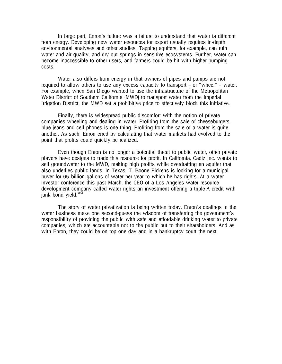In large part, Enron's failure was a failure to understand that water is different from energy. Developing new water resources for export usually requires in-depth environmental analyses and other studies. Tapping aquifers, for example, can ruin water and air quality, and dry out springs in sensitive ecosystems. Further, water can become inaccessible to other users, and farmers could be hit with higher pumping costs.

Water also differs from energy in that owners of pipes and pumps are not required to allow others to use any excess capacity to transport – or "wheel" – water. For example, when San Diego wanted to use the infrastructure of the Metropolitan Water District of Southern California (MWD) to transport water from the Imperial Irrigation District, the MWD set a prohibitive price to effectively block this initiative.

Finally, there is widespread public discomfort with the notion of private companies wheeling and dealing in water. Profiting from the sale of cheeseburgers, blue jeans and cell phones is one thing. Profiting from the sale of a water is quite another. As such, Enron erred by calculating that water markets had evolved to the point that profits could quickly be realized.

Even though Enron is no longer a potential threat to public water, other private players have designs to trade this resource for profit. In California, Cadiz Inc. wants to sell groundwater to the MWD, making high profits while overdrafting an aquifer that also underlies public lands. In Texas, T. Boone Pickens is looking for a municipal buyer for 65 billion gallons of water per year to which he has rights. At a water investor conference this past March, the CEO of a Los Angeles water resource development company called water rights an investment offering a triple-A credit with junk bond yield.<sup>xcvi</sup>

The story of water privatization is being written today. Enron's dealings in the water business make one second-guess the wisdom of transferring the government's responsibility of providing the public with safe and affordable drinking water to private companies, which are accountable not to the public but to their shareholders. And as with Enron, they could be on top one day and in a bankruptcy court the next.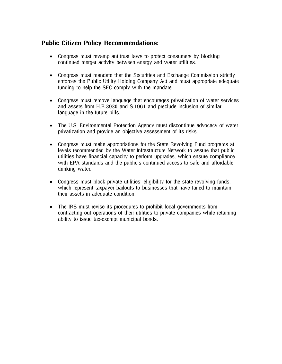## Public Citizen Policy Recommendations:

- Congress must revamp antitrust laws to protect consumers by blocking continued merger activity between energy and water utilities.
- Congress must mandate that the Securities and Exchange Commission strictly enforces the Public Utility Holding Company Act and must appropriate adequate funding to help the SEC comply with the mandate.
- Congress must remove language that encourages privatization of water services and assets from H.R.3930 and S.1961 and preclude inclusion of similar language in the future bills.
- The U.S. Environmental Protection Agency must discontinue advocacy of water privatization and provide an objective assessment of its risks.
- Congress must make appropriations for the State Revolving Fund programs at levels recommended by the Water Infrastructure Network to assure that public utilities have financial capacity to perform upgrades, which ensure compliance with EPA standards and the public's continued access to safe and affordable drinking water.
- Congress must block private utilities' eligibility for the state revolving funds, which represent taxpayer bailouts to businesses that have failed to maintain their assets in adequate condition.
- The IRS must revise its procedures to prohibit local governments from contracting out operations of their utilities to private companies while retaining ability to issue tax-exempt municipal bonds.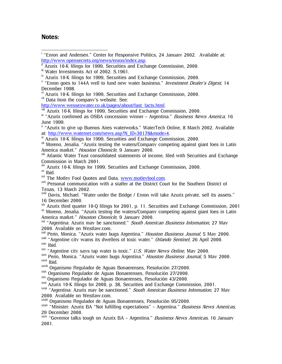## Notes:

v<sup>i</sup> Azurix 10-K filings for 1999, Securities and Exchange Commission, 2000.

<sup>vii</sup> Data from the company's website. See:

http://www.wessexwater.co.uk/pages/about/fast\_facts.html.<br>viii Azurix 10-K filings for 1999, Securities and Exchange Commission, 2000.

 $\frac{1}{x}$  "Azurix confirmed as OSBA concession winner - Argentina." *Business News America*, 16 June 1999.

<sup>x</sup> "Azurix to give up Buenos Aires waterworks." WaterTech Online, 8 March 2002. Available at: http://www.waternet.com/news.asp?N\_ID=30178&mode=4.<br><sup>xi</sup> Azurix 10-K filings for 1999, Securities and Exchange Commission, 2000.

xii Moreno, Jenalia. "Azurix testing the waters/Company competing against giant foes in Latin America market." Houston Chronicle, 9 January 2000.

<sup>xiii</sup> Atlantic Water Trust consolidated statements of income, filed with Securities and Exchange Commission in March 2001.

 $\frac{x}{x}$  Azurix 10-K filings for 1999, Securities and Exchange Commission, 2000.<br>  $\frac{x}{x}$  Ibid.<br>  $\frac{x}{x}$  The Motley Fool Quotes and Data, www.motleyfool.com.

<sup>xvii</sup> Personal communication with a staffer at the District Court for the Southern District of Texas, 13 March 2002.

<sup>xviii</sup> Davis, Michael. "Water under the Bridge / Enron will take Azurix private, sell its assets." 16 December 2000.

 $\frac{x}{x}$  Azurix third quarter 10-Q filings for 2001, p. 11. Securities and Exchange Commission, 2001  $\frac{x}{x}$  Moreno, Jenalia. "Azurix testing the waters/Company competing against giant foes in Latin America market." Houston Chronicle, 9 January 2000.

<sup>xxi</sup> "Argentina: Azurix may be sanctioned." *South American Business Information*, 27 May 2000. Available on Westlaw.com.

<sup>xxii</sup> Perin, Monica. "Azurix water bugs Argentina." *Houston Business Journal*, 5 May 2000.

 $\frac{x}{x}$ <sup>xxii</sup> "Argentine city warns its dwellers of toxic water." *Orlando Sentinel*, 26 April 2000.<br>  $\frac{x}{x}$  Ibid.

 $x_0$  "Argentine city says tap water is toxic." U.S. Water News Online, May 2000.

xxvi Perin, Monica. "Azurix water bugs Argentina." Houston Business Journal, 5 May 2000. xxvii Ibid.

xxviii Organismo Regulador de Aguas Bonaerenses, Resolución 27/2000.

xxix Organismo Regulador de Aguas Bonaerenses, Resolución 27/2000.<br>xxx Organismo Regulador de Aguas Bonaerenses, Resolución 43/2000.<br>xxxi Azurix 10-K filings for 2000, p. 38, Securities and Exchange Commission, 2001.

xxxii "Argentina: Azurix may be sanctioned." South American Business Information, 27 May 2000. Available on Westlaw.com.

xxxiii Organismo Regulador de Aguas Bonaerenses, Resolución 95/2000.

 $xxxiv$  "Minister: Azurix BA "Not fulfilling expectations" – Argentina." *Business News Americas*, 29 December 2000.

xxxv "Governor talks tough on Azurix BA - Argentina." Business News Americas, 16 January 2001.

 i "Enron and Andersen." Center for Responsive Politics, 24 January 2002. Available at: http://www.opensecrets.org/news/enron/index.asp.<br>
<sup>ii</sup> Azurix 10-K filings for 1999, Securities and Exchange Commission, 2000.

iii Water Investments Act of 2002. S.1961.

iv Azurix 10-K filings for 1999, Securities and Exchange Commission, 2000.

 $V$  "Enron goes to 144A well to fund new water business." *Investment Dealer's Digest*, 14 December 1998.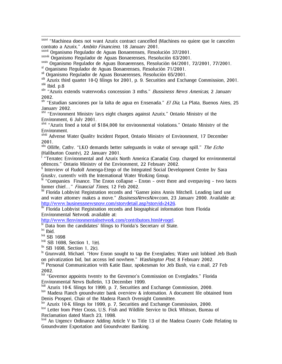xxxvi "Machinea does not want Azurix contract cancelled (Machines no quiere que le cancelen contrato a Azurix." Ambito Financiero, 18 January 2001.

xxxvii Organismo Regulador de Aguas Bonaerenses, Resolución 37/2001.

xxxviii Organismo Regulador de Aguas Bonaerenses, Resolución 63/2001.

xxxix Organismo Regulador de Aguas Bonaerenses, Resolución 64/2001, 72/2001, 77/2001.

xl Organismo Regulador de Aguas Bonaerenses, Resolución 71/2001.

xli Organismo Regulador de Aguas Bonaerenses, Resolución 65/2001.

<sup>xlii</sup> Azurix third quarter 10-Q filings for 2001, p. 9. Securities and Exchange Commission, 2001.<br><sup>xlii</sup> Ibid. p.8<br><sup>xliv</sup> "Azurix extends waterworks concession 3 mths." *Bussiness News Americas*, 2 January

2002.

 $x^{N}$  "Estudian sanciones por la falta de agua en Ensenada." *El Dia*, La Plata, Buenos Aires, 25 January 2002.

x<sup>lvi</sup> "Environment Ministry lays eight charges against Azurix." Ontario Ministry of the Environment, 6 July 2001.

xlvii "Azurix fined a total of \$184,000 for environmental violations." Ontario Ministry of the Environment.

xlviii Adverse Water Quality Incident Report, Ontario Ministry of Environment, 17 December 2001.

 $x$ <sup>lix</sup> Olliffe, Cathy. "LKO demands better safeguards in wake of sewage spill." The Echo (Haliburton County), 22 January 2001.

<sup>I</sup> "Terratec Environmental and Azurix North America (Canada) Corp. charged for environmental offences." Ontario Ministry of the Environment, 22 February 2002.<br><sup>li</sup> Interview of Rudolf Amenga-Etego of the Integrated Social Development Centre by Sara

Grusky, currently with the International Water Working Group.

 $\frac{1}{2}$  "Companies Finance. The Enron collapse – Enron – over there and overpaying – two faces former chief..." Financial Times, 12 Feb 2002.

liii Florida Lobbyist Registration records and "Garner joins Annis Mitchell. Leading land use and water attorney makes a move." *BusinessNewsNow.com*, 23 January 2000. Available at:<br>http://www.businessnewsnow.com/storydetail.asp?storyid=2426.

liv Florida Lobbyist Registration records and biographical information from Florida Environmental Network available at:<br>http://www.flenvironmentalnetwork.com/contributors.html#vogel.

 $\frac{W}{W}$  Data from the candidates' filings to Florida's Secretary of State.<br>lvi Ibid.

lvii SB 1698

lviii SB 1698, Section 1, 1(e).

 $\frac{lix}{ }$  SB 1698, Section 1, 2(c).

<sup>1x</sup> Grunwald, Michael. "How Enron sought to tap the Everglades; Water unit lobbied Jeb Bush on privatization bid, but access led nowhere." *Washington Post*, 8 February 2002.

W Personal Communication with Katie Baur, spokesman for Jeb Bush, via e.mail, 27 Feb 2002.

<sup>Ixii</sup> "Governor appoints twenty to the Governor's Commission on Everglades." Florida Environmental News Bulletin, 13 December 1999.<br>
<sup>Ixiii</sup> Azurix 10-K filings for 1999, p. 7, Securities and Exchange Commission, 2000.

<sup>kiv</sup> Madera Ranch groundwater bank overview & information. A document file obtained from

Denis Prosperi, Chair of the Madera Ranch Oversight Committee.<br><sup>INV</sup> Azurix 10-K filings for 1999, p. 7, Securities and Exchange Commission, 2000.

lxvi Letter from Peter Cross, U.S. Fish and Wildlife Service to Dick Whitson, Bureau of Reclamation dated March 23, 1998.

<sup>Ixvii</sup> An Urgency Ordinance Adding Article V to Title 13 of the Madera County Code Relating to Groundwater Exportation and Groundwater Banking.